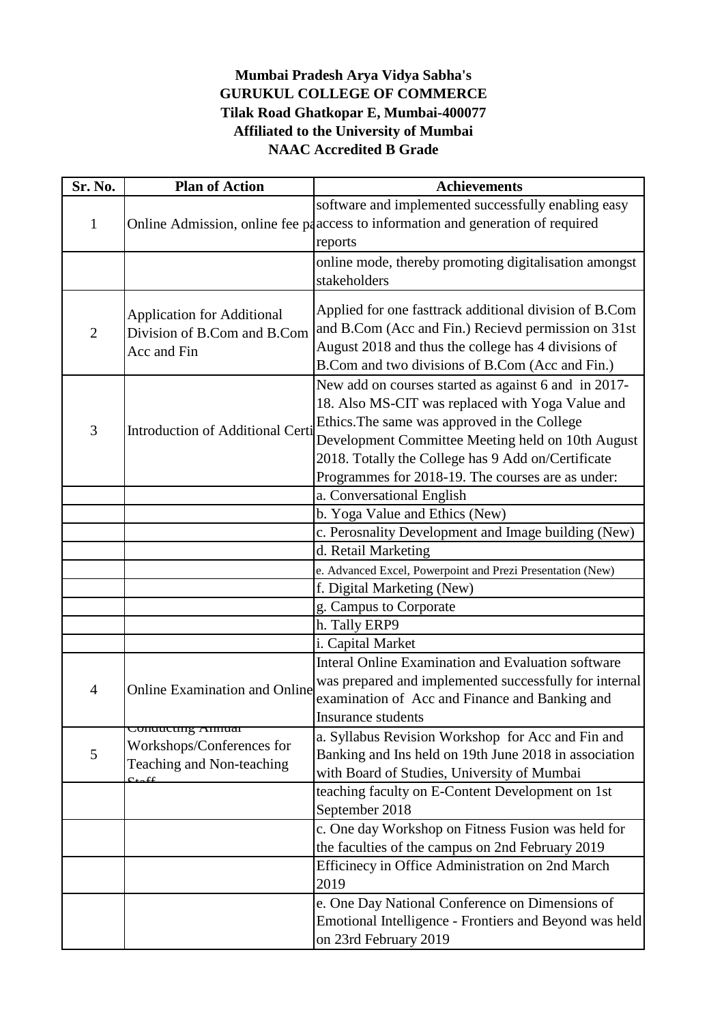## **GURUKUL COLLEGE OF COMMERCE Tilak Road Ghatkopar E, Mumbai-400077 Affiliated to the University of Mumbai NAAC Accredited B Grade Mumbai Pradesh Arya Vidya Sabha's**

| Sr. No.        | <b>Plan of Action</b>                                  | <b>Achievements</b>                                                             |
|----------------|--------------------------------------------------------|---------------------------------------------------------------------------------|
|                |                                                        | software and implemented successfully enabling easy                             |
| 1              |                                                        | Online Admission, online fee paaccess to information and generation of required |
|                |                                                        | reports                                                                         |
|                |                                                        | online mode, thereby promoting digitalisation amongst                           |
|                |                                                        | stakeholders                                                                    |
|                |                                                        |                                                                                 |
| $\mathbf{2}$   | <b>Application for Additional</b>                      | Applied for one fasttrack additional division of B.Com                          |
|                | Division of B.Com and B.Com                            | and B.Com (Acc and Fin.) Recieve permission on 31st                             |
|                | Acc and Fin                                            | August 2018 and thus the college has 4 divisions of                             |
|                |                                                        | B.Com and two divisions of B.Com (Acc and Fin.)                                 |
|                |                                                        | New add on courses started as against 6 and in 2017-                            |
|                |                                                        | 18. Also MS-CIT was replaced with Yoga Value and                                |
| 3              | Introduction of Additional Certi                       | Ethics. The same was approved in the College                                    |
|                |                                                        | Development Committee Meeting held on 10th August                               |
|                |                                                        | 2018. Totally the College has 9 Add on/Certificate                              |
|                |                                                        | Programmes for 2018-19. The courses are as under:<br>a. Conversational English  |
|                |                                                        | b. Yoga Value and Ethics (New)                                                  |
|                |                                                        | c. Perosnality Development and Image building (New)                             |
|                |                                                        | d. Retail Marketing                                                             |
|                |                                                        | e. Advanced Excel, Powerpoint and Prezi Presentation (New)                      |
|                |                                                        | f. Digital Marketing (New)                                                      |
|                |                                                        | g. Campus to Corporate                                                          |
|                |                                                        | h. Tally ERP9                                                                   |
|                |                                                        | i. Capital Market                                                               |
|                |                                                        | Interal Online Examination and Evaluation software                              |
| $\overline{4}$ | <b>Online Examination and Online</b>                   | was prepared and implemented successfully for internal                          |
|                |                                                        | examination of Acc and Finance and Banking and                                  |
|                |                                                        | <b>Insurance students</b>                                                       |
|                | Conducting Annual                                      | a. Syllabus Revision Workshop for Acc and Fin and                               |
| 5              | Workshops/Conferences for<br>Teaching and Non-teaching | Banking and Ins held on 19th June 2018 in association                           |
|                |                                                        | with Board of Studies, University of Mumbai                                     |
|                | $\alpha_{\text{ref}}$                                  | teaching faculty on E-Content Development on 1st                                |
|                |                                                        | September 2018                                                                  |
|                |                                                        | c. One day Workshop on Fitness Fusion was held for                              |
|                |                                                        | the faculties of the campus on 2nd February 2019                                |
|                |                                                        | Efficinecy in Office Administration on 2nd March                                |
|                |                                                        | 2019                                                                            |
|                |                                                        | e. One Day National Conference on Dimensions of                                 |
|                |                                                        | Emotional Intelligence - Frontiers and Beyond was held                          |
|                |                                                        | on 23rd February 2019                                                           |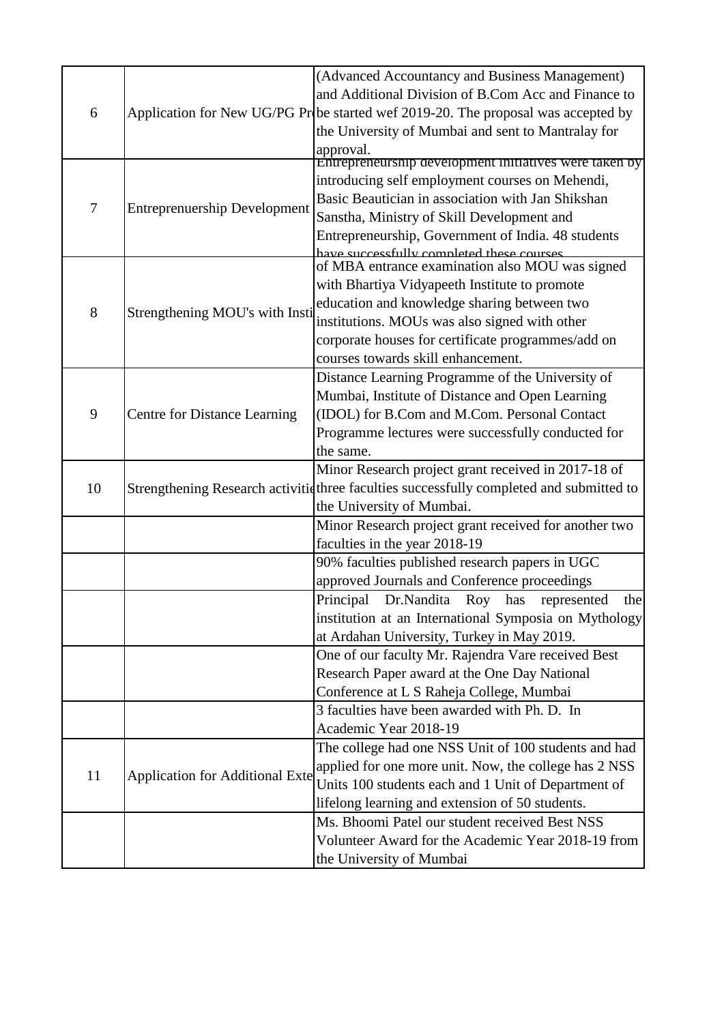|    |                                        | (Advanced Accountancy and Business Management)                                               |
|----|----------------------------------------|----------------------------------------------------------------------------------------------|
|    |                                        | and Additional Division of B.Com Acc and Finance to                                          |
| 6  |                                        | Application for New UG/PG Probe started wef 2019-20. The proposal was accepted by            |
|    |                                        | the University of Mumbai and sent to Mantralay for                                           |
|    |                                        | approval.                                                                                    |
|    |                                        | Entrepreneurship development initiatives were taken by                                       |
|    |                                        | introducing self employment courses on Mehendi,                                              |
| 7  | <b>Entreprenuership Development</b>    | Basic Beautician in association with Jan Shikshan                                            |
|    |                                        | Sanstha, Ministry of Skill Development and                                                   |
|    |                                        | Entrepreneurship, Government of India. 48 students                                           |
|    |                                        | have successfully completed these courses<br>of MBA entrance examination also MOU was signed |
|    | Strengthening MOU's with Insti         |                                                                                              |
| 8  |                                        | with Bhartiya Vidyapeeth Institute to promote                                                |
|    |                                        | education and knowledge sharing between two<br>institutions. MOUs was also signed with other |
|    |                                        |                                                                                              |
|    |                                        | corporate houses for certificate programmes/add on                                           |
|    |                                        | courses towards skill enhancement.                                                           |
|    | <b>Centre for Distance Learning</b>    | Distance Learning Programme of the University of                                             |
|    |                                        | Mumbai, Institute of Distance and Open Learning                                              |
| 9  |                                        | (IDOL) for B.Com and M.Com. Personal Contact                                                 |
|    |                                        | Programme lectures were successfully conducted for                                           |
|    |                                        | the same.                                                                                    |
|    |                                        | Minor Research project grant received in 2017-18 of                                          |
| 10 |                                        | Strengthening Research activitid three faculties successfully completed and submitted to     |
|    |                                        | the University of Mumbai.                                                                    |
|    |                                        | Minor Research project grant received for another two                                        |
|    |                                        | faculties in the year 2018-19                                                                |
|    |                                        | 90% faculties published research papers in UGC                                               |
|    |                                        | approved Journals and Conference proceedings                                                 |
|    |                                        | Principal Dr.Nandita Roy has represented<br>the                                              |
|    |                                        | institution at an International Symposia on Mythology                                        |
|    |                                        | at Ardahan University, Turkey in May 2019.                                                   |
|    |                                        | One of our faculty Mr. Rajendra Vare received Best                                           |
|    |                                        | Research Paper award at the One Day National                                                 |
|    |                                        | Conference at L S Raheja College, Mumbai                                                     |
|    |                                        | 3 faculties have been awarded with Ph. D. In                                                 |
|    |                                        | Academic Year 2018-19                                                                        |
|    | <b>Application for Additional Exte</b> | The college had one NSS Unit of 100 students and had                                         |
| 11 |                                        | applied for one more unit. Now, the college has 2 NSS                                        |
|    |                                        | Units 100 students each and 1 Unit of Department of                                          |
|    |                                        | lifelong learning and extension of 50 students.                                              |
|    |                                        | Ms. Bhoomi Patel our student received Best NSS                                               |
|    |                                        | Volunteer Award for the Academic Year 2018-19 from                                           |
|    |                                        | the University of Mumbai                                                                     |